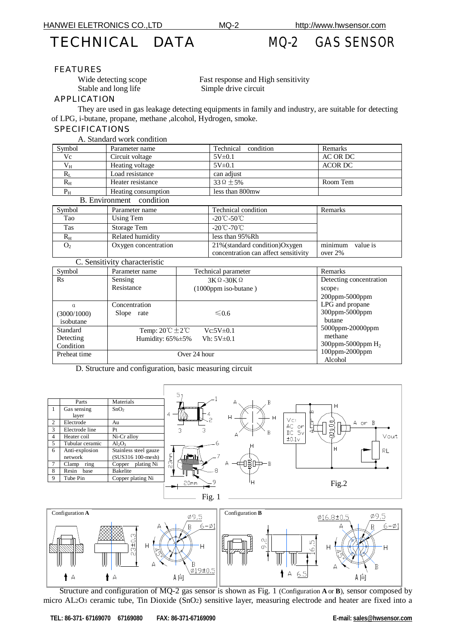# TECHNICAL DATA MQ-2 GAS SENSOR

#### FEATURES

Stable and long life Simple drive circuit

Wide detecting scope Fast response and High sensitivity

#### APPLICATION

 They are used in gas leakage detecting equipments in family and industry, are suitable for detecting of LPG, i-butane, propane, methane ,alcohol, Hydrogen, smoke.

### **SPECIFICATIONS**

|                | A. Standard work condition |                     |                |
|----------------|----------------------------|---------------------|----------------|
| Symbol         | Parameter name             | Technical condition | Remarks        |
| Vc             | Circuit voltage            | $5V \pm 0.1$        | AC OR DC       |
| $V_{H}$        | Heating voltage            | $5V\pm0.1$          | <b>ACOR DC</b> |
|                | Load resistance            | can adjust          |                |
| $R_{\rm H}$    | Heater resistance          | $33\Omega + 5\%$    | Room Tem       |
| $\mathbf{p}_n$ | Heating consumption        | less than 800mw     |                |

| <b>B.</b> Environment condition |                      |                                      |                     |  |  |
|---------------------------------|----------------------|--------------------------------------|---------------------|--|--|
| Symbol                          | Parameter name       | Technical condition                  | Remarks             |  |  |
| Tao                             | Using Tem            | $-20^{\circ}$ C $-50^{\circ}$ C      |                     |  |  |
| Tas                             | Storage Tem          | $-20^{\circ}$ C $-70^{\circ}$ C      |                     |  |  |
| $R_{\rm H}$                     | Related humidity     | less than 95% Rh                     |                     |  |  |
| O <sub>2</sub>                  | Oxygen concentration | 21% (standard condition) Oxygen      | minimum<br>value is |  |  |
|                                 |                      | concentration can affect sensitivity | over 2%             |  |  |

| Symbol                                                       | Parameter name                                                 | Technical parameter                                  | Remarks                                                       |  |  |
|--------------------------------------------------------------|----------------------------------------------------------------|------------------------------------------------------|---------------------------------------------------------------|--|--|
| $\rm Rs$                                                     | Sensing<br>Resistance                                          | $3K\Omega - 30K\Omega$<br>$(1000$ ppm iso-butane $)$ | Detecting concentration<br>scope:<br>$200$ ppm-5000ppm        |  |  |
| Concentration<br>α<br>Slope rate<br>(3000/1000)<br>isobutane |                                                                | $\leq 0.6$                                           | LPG and propane<br>300ppm-5000ppm<br>butane                   |  |  |
| Standard<br>Detecting<br>Condition                           | Temp: $20^{\circ}C \pm 2^{\circ}C$<br>Humidity: $65\% \pm 5\%$ | $Vc:5V\pm0.1$<br>Vh: $5V\pm0.1$                      | $5000$ ppm- $20000$ ppm<br>methane<br>$300$ ppm-5000ppm $H_2$ |  |  |
| Preheat time                                                 | Over 24 hour                                                   |                                                      | 100ppm-2000ppm<br>Alcohol                                     |  |  |

D. Structure and configuration, basic measuring circuit

|   |                 |                       | 5                       |          |                   |                      |        |
|---|-----------------|-----------------------|-------------------------|----------|-------------------|----------------------|--------|
|   | Parts           | Materials             |                         | А        |                   |                      |        |
|   | Gas sensing     | SnO <sub>2</sub>      |                         |          | ⊡                 |                      |        |
|   | layer           |                       | 4                       | Н<br>н   |                   |                      |        |
| 2 | Electrode       | Au                    |                         |          | VC<br>AC          | $\sim$<br>$\bigcirc$ | A or B |
| 3 | Electrode line  | Pt                    |                         | B        | or<br>5v<br>DC    | $\tilde{a}$          |        |
| 4 | Heater coil     | Ni-Cr alloy           |                         |          | ±0.1 <sub>V</sub> |                      | Vout   |
| 5 | Tubular ceramic | $Al_2O_3$             |                         |          |                   |                      |        |
| 6 | Anti-explosion  | Stainless steel gauze |                         |          |                   | Н                    | RL     |
|   | network         | (SUS316 100-mesh)     | 3mm<br>n <del>Wil</del> |          |                   |                      |        |
|   | ring<br>Clamp   | plating Ni<br>Copper  | $\sim$                  | ปฐี<br>A |                   |                      |        |
| 8 | Resin<br>base   | Bakelite              |                         |          |                   |                      |        |
| 9 | Tube Pin        | Copper plating Ni     |                         |          |                   |                      |        |
|   |                 |                       | 20mm                    | H        |                   | Fig.2                |        |





 Structure and configuration of MQ-2 gas sensor is shown as Fig. 1 (Configuration **A** or **B**), sensor composed by micro AL2O3 ceramic tube, Tin Dioxide (SnO2) sensitive layer, measuring electrode and heater are fixed into a